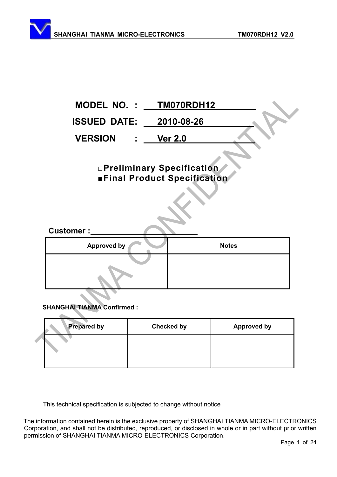

# **SHANGHAI TIANMA Confirmed :**

 $\Delta \mathbf{m}$ 

| <b>Prepared by</b> | <b>Checked by</b> | <b>Approved by</b> |
|--------------------|-------------------|--------------------|
|                    |                   |                    |
|                    |                   |                    |

This technical specification is subjected to change without notice

The information contained herein is the exclusive property of SHANGHAI TIANMA MICRO-ELECTRONICS Corporation, and shall not be distributed, reproduced, or disclosed in whole or in part without prior written permission of SHANGHAI TIANMA MICRO-ELECTRONICS Corporation.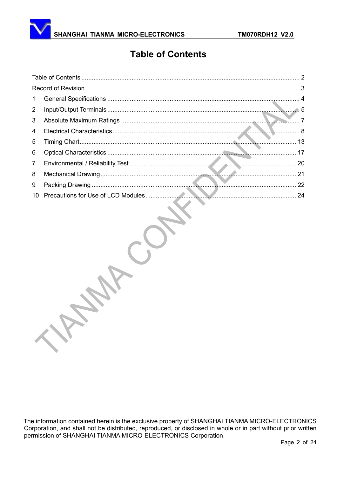# **Table of Contents**

<span id="page-1-0"></span>

| $\mathbf{1}$    |  |
|-----------------|--|
| $\overline{2}$  |  |
| 3               |  |
| 4               |  |
| 5               |  |
| 6               |  |
| $7\overline{ }$ |  |
| 8               |  |
| 9               |  |
| 10 <sup>1</sup> |  |
|                 |  |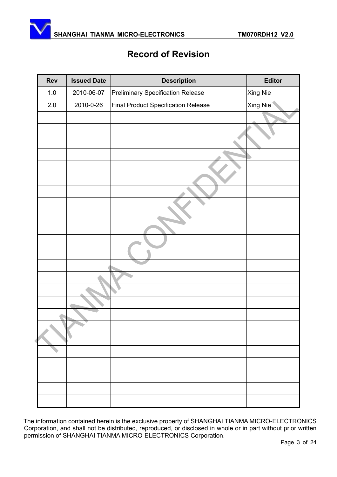<span id="page-2-0"></span>

# **Record of Revision**

| Rev     | <b>Issued Date</b> | <b>Description</b>                         | <b>Editor</b> |
|---------|--------------------|--------------------------------------------|---------------|
| $1.0\,$ | 2010-06-07         | <b>Preliminary Specification Release</b>   | Xing Nie      |
| 2.0     | 2010-0-26          | <b>Final Product Specification Release</b> | Xing Nie      |
|         |                    |                                            |               |
|         |                    |                                            |               |
|         |                    |                                            |               |
|         |                    |                                            |               |
|         |                    |                                            |               |
|         |                    |                                            |               |
|         |                    |                                            |               |
|         |                    |                                            |               |
|         |                    |                                            |               |
|         |                    |                                            |               |
|         |                    |                                            |               |
|         |                    |                                            |               |
|         |                    |                                            |               |
|         |                    |                                            |               |
|         |                    |                                            |               |
|         |                    |                                            |               |
|         |                    |                                            |               |
|         |                    |                                            |               |
|         |                    |                                            |               |
|         |                    |                                            |               |
|         |                    |                                            |               |
|         |                    |                                            |               |
|         |                    |                                            |               |
|         |                    |                                            |               |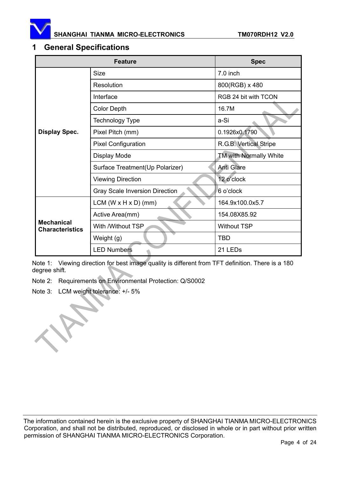<span id="page-3-0"></span>

## **1 General Specifications**

|                                             | <b>Spec</b>                           |                               |  |
|---------------------------------------------|---------------------------------------|-------------------------------|--|
|                                             | <b>Size</b>                           | $7.0$ inch                    |  |
|                                             | Resolution                            | 800(RGB) x 480                |  |
|                                             | Interface                             | RGB 24 bit with TCON          |  |
|                                             | <b>Color Depth</b>                    | 16.7M                         |  |
|                                             | <b>Technology Type</b>                | a-Si                          |  |
| <b>Display Spec.</b>                        | Pixel Pitch (mm)                      | 0.1926x0.1790                 |  |
|                                             | <b>Pixel Configuration</b>            | R.G.B. Vertical Stripe        |  |
|                                             | Display Mode                          | <b>TM with Normally White</b> |  |
|                                             | Surface Treatment(Up Polarizer)       | <b>Anti Glare</b>             |  |
|                                             | <b>Viewing Direction</b>              | 12 o'clock                    |  |
|                                             | <b>Gray Scale Inversion Direction</b> | 6 o'clock                     |  |
|                                             | $LCM (W \times H \times D) (mm)$      | 164.9x100.0x5.7               |  |
|                                             | Active Area(mm)                       | 154.08X85.92                  |  |
| <b>Mechanical</b><br><b>Characteristics</b> | With /Without TSP                     | <b>Without TSP</b>            |  |
|                                             | Weight (g)                            | TBD                           |  |
|                                             | <b>LED Numbers</b>                    | 21 LED <sub>s</sub>           |  |

Note 1: Viewing direction for best image quality is different from TFT definition. There is a 180 degree shift.

Note 2: Requirements on Environmental Protection: Q/S0002

Note 3: LCM weight tolerance: +/- 5%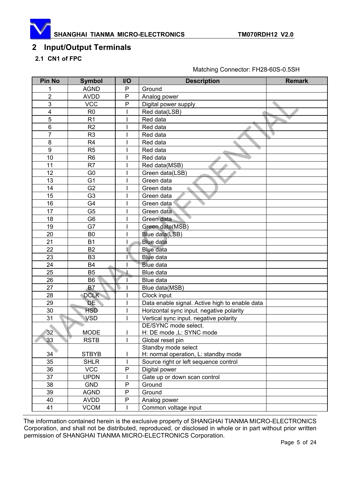<span id="page-4-0"></span>

# **2 Input/Output Terminals**

## **2.1 CN1 of FPC**

| <b>Pin No</b>           | <b>Symbol</b>  | I/O          | <b>Description</b>                             | <b>Remark</b> |
|-------------------------|----------------|--------------|------------------------------------------------|---------------|
| 1                       | <b>AGND</b>    | P            | Ground                                         |               |
| $\overline{2}$          | <b>AVDD</b>    | P            | Analog power                                   |               |
| 3                       | <b>VCC</b>     | P            | Digital power supply                           |               |
| $\overline{\mathbf{4}}$ | R <sub>0</sub> |              | Red data(LSB)                                  |               |
| 5                       | R <sub>1</sub> |              | Red data                                       |               |
| 6                       | R <sub>2</sub> |              | Red data                                       |               |
| $\overline{7}$          | R <sub>3</sub> |              | Red data                                       |               |
| 8                       | R <sub>4</sub> |              | Red data                                       |               |
| $\boldsymbol{9}$        | R <sub>5</sub> |              | Red data                                       |               |
| 10                      | R <sub>6</sub> |              | Red data                                       |               |
| 11                      | R <sub>7</sub> |              | Red data(MSB)                                  |               |
| 12                      | G <sub>0</sub> |              | Green data(LSB)                                |               |
| 13                      | G <sub>1</sub> |              | Green data                                     |               |
| 14                      | G <sub>2</sub> |              | Green data                                     |               |
| 15                      | G <sub>3</sub> |              | Green data                                     |               |
| 16                      | G4             |              | Green data                                     |               |
| 17                      | G <sub>5</sub> |              | Green data                                     |               |
| 18                      | G <sub>6</sub> |              | Green data                                     |               |
| 19                      | G7             |              | Green data(MSB)                                |               |
| 20                      | B <sub>0</sub> |              | Blue data(LSB)                                 |               |
| 21                      | <b>B1</b>      |              | <b>Blue data</b>                               |               |
| 22                      | <b>B2</b>      |              | <b>Blue data</b>                               |               |
| 23                      | B <sub>3</sub> |              | <b>Blue data</b>                               |               |
| 24                      | <b>B4</b>      |              | <b>Blue data</b>                               |               |
| 25                      | <b>B5</b>      |              | Blue data                                      |               |
| 26                      | B <sub>6</sub> |              | Blue data                                      |               |
| 27                      | <b>B7</b>      |              | Blue data(MSB)                                 |               |
| 28                      | <b>DCLK</b>    |              | Clock input                                    |               |
| 29                      | DE             |              | Data enable signal. Active high to enable data |               |
| 30                      | <b>HSD</b>     |              | Horizontal sync input. negative polarity       |               |
| 31                      | <b>VSD</b>     |              | Vertical sync input. negative polarity         |               |
|                         |                |              | DE/SYNC mode select.                           |               |
| 32                      | <b>MODE</b>    | I            | H: DE mode , L: SYNC mode                      |               |
| 33                      | <b>RSTB</b>    |              | Global reset pin                               |               |
|                         |                |              | Standby mode select                            |               |
| 34                      | <b>STBYB</b>   |              | H: normal operation, L: standby mode           |               |
| 35                      | <b>SHLR</b>    | $\mathsf{l}$ | Source right or left sequence control          |               |
| 36                      | <b>VCC</b>     | $\mathsf{P}$ | Digital power                                  |               |
| 37                      | <b>UPDN</b>    |              | Gate up or down scan control                   |               |
| 38                      | <b>GND</b>     | ${\sf P}$    | Ground                                         |               |
| 39                      | <b>AGND</b>    | P            | Ground                                         |               |
| 40                      | <b>AVDD</b>    | P            | Analog power                                   |               |
| 41                      | <b>VCOM</b>    |              | Common voltage input                           |               |

Matching Connector: FH28-60S-0.5SH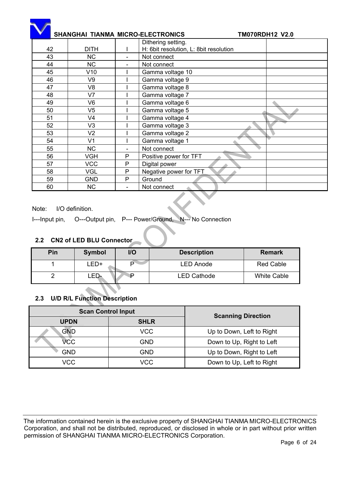|    | SHANGHAI TIANMA MICRO-ELECTRONICS |                | <b>TM070RDH12 V2.0</b>                 |
|----|-----------------------------------|----------------|----------------------------------------|
|    |                                   |                | Dithering setting.                     |
| 42 | <b>DITH</b>                       |                | H: 6bit resolution, L: 8bit resolution |
| 43 | <b>NC</b>                         | -              | Not connect                            |
| 44 | <b>NC</b>                         |                | Not connect                            |
| 45 | V10                               |                | Gamma voltage 10                       |
| 46 | V <sub>9</sub>                    |                | Gamma voltage 9                        |
| 47 | V <sub>8</sub>                    |                | Gamma voltage 8                        |
| 48 | V <sub>7</sub>                    |                | Gamma voltage 7                        |
| 49 | V <sub>6</sub>                    |                | Gamma voltage 6                        |
| 50 | V <sub>5</sub>                    |                | Gamma voltage 5                        |
| 51 | V <sub>4</sub>                    |                | Gamma voltage 4                        |
| 52 | V <sub>3</sub>                    |                | Gamma voltage 3                        |
| 53 | V <sub>2</sub>                    |                | Gamma voltage 2                        |
| 54 | V <sub>1</sub>                    |                | Gamma voltage 1                        |
| 55 | <b>NC</b>                         | $\overline{a}$ | Not connect                            |
| 56 | <b>VGH</b>                        | P              | Positive power for TFT                 |
| 57 | <b>VCC</b>                        | P              | Digital power                          |
| 58 | <b>VGL</b>                        | $\mathsf{P}$   | Negative power for TFT                 |
| 59 | <b>GND</b>                        | $\mathsf{P}$   | Ground                                 |
| 60 | <b>NC</b>                         |                | Not connect                            |

Note: I/O definition.

I---Input pin, O---Output pin, P--- Power/Ground, N--- No Connection

## **2.2 CN2 of LED BLU Connector**

| Pin | <b>Symbol</b> | I/O | <b>Description</b> | <b>Remark</b>    |
|-----|---------------|-----|--------------------|------------------|
|     | LED+          | D   | <b>LED Anode</b>   | <b>Red Cable</b> |
|     | _ED+          |     | <b>LED Cathode</b> | White Cable      |

#### **2.3 U/D R/L Function Description**

| <b>Scan Control Input</b> |             | <b>Scanning Direction</b> |  |  |
|---------------------------|-------------|---------------------------|--|--|
| <b>UPDN</b>               | <b>SHLR</b> |                           |  |  |
| GND                       | <b>VCC</b>  | Up to Down, Left to Right |  |  |
| VCC                       | GND         | Down to Up, Right to Left |  |  |
| <b>GND</b>                | GND         | Up to Down, Right to Left |  |  |
| VCC                       | VCC         | Down to Up, Left to Right |  |  |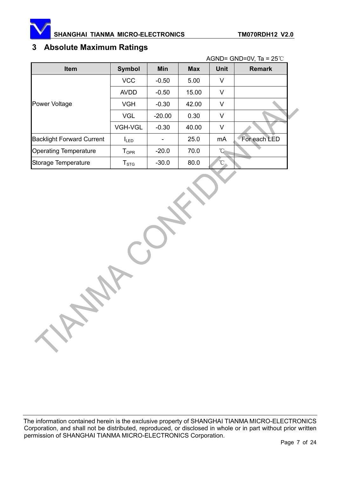<span id="page-6-0"></span>

# **3 Absolute Maximum Ratings**

| AGND= GND=0V, Ta = $25^{\circ}$ C |                           |            |            |             |               |  |  |
|-----------------------------------|---------------------------|------------|------------|-------------|---------------|--|--|
| <b>Item</b>                       | <b>Symbol</b>             | <b>Min</b> | <b>Max</b> | <b>Unit</b> | <b>Remark</b> |  |  |
|                                   | <b>VCC</b>                | $-0.50$    | 5.00       | V           |               |  |  |
|                                   | <b>AVDD</b>               | $-0.50$    | 15.00      | V           |               |  |  |
| <b>Power Voltage</b>              | <b>VGH</b>                | $-0.30$    | 42.00      | V           |               |  |  |
|                                   | <b>VGL</b>                | $-20.00$   | 0.30       | V           |               |  |  |
|                                   | <b>VGH-VGL</b>            | $-0.30$    | 40.00      | V           |               |  |  |
| <b>Backlight Forward Current</b>  | $I_{LED}$                 |            | 25.0       | mA          | For each LED  |  |  |
| <b>Operating Temperature</b>      | $T_{\mathsf{OPR}}$        | $-20.0$    | 70.0       | °∩          |               |  |  |
| Storage Temperature               | $\mathsf{T}_{\text{STG}}$ | $-30.0$    | 80.0       | ≧           |               |  |  |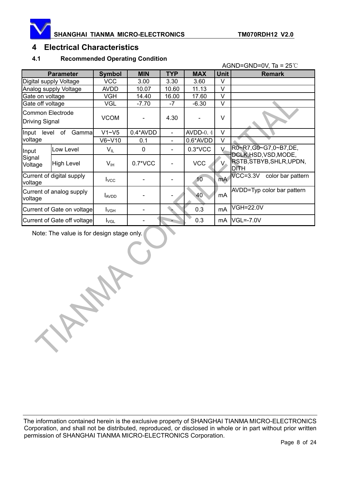<span id="page-7-0"></span>

## **4 Electrical Characteristics**

#### **4.1 Recommended Operating Condition**

|                                     |                                                  |                  |            |                          |            |             | AGND=GND=0V, Ta = $25^{\circ}$ C              |
|-------------------------------------|--------------------------------------------------|------------------|------------|--------------------------|------------|-------------|-----------------------------------------------|
|                                     | <b>Parameter</b>                                 | <b>Symbol</b>    | <b>MIN</b> | <b>TYP</b>               | <b>MAX</b> | <b>Unit</b> | <b>Remark</b>                                 |
|                                     | Digital supply Voltage                           | <b>VCC</b>       | 3.00       | 3.30                     | 3.60       | V           |                                               |
|                                     | Analog supply Voltage                            | <b>AVDD</b>      | 10.07      | 10.60                    | 11.13      | V           |                                               |
| Gate on voltage                     |                                                  | <b>VGH</b>       | 14.40      | 16.00                    | 17.60      | V           |                                               |
| Gate off voltage                    |                                                  | <b>VGL</b>       | $-7.70$    | $-7$                     | $-6.30$    | V           |                                               |
|                                     | <b>Common Electrode</b><br><b>Driving Signal</b> |                  |            | 4.30                     |            | V           |                                               |
| Input<br>level                      | Gammal<br>оf                                     | $V1 - V5$        | 0.4*AVDD   | $\overline{\phantom{a}}$ | $AVDD-0.4$ | V           |                                               |
| voltage                             |                                                  | $V6-V10$         | 0.1        |                          | 0.6*AVDD   | V           |                                               |
| Input                               | Low Level                                        | $V_{IL}$         | $\Omega$   |                          | $0.3*VCC$  | $V_{\rm c}$ | R0~R7,G0~G7,0~B7,DE,<br>DCLK, HSD, VSD, MODE, |
| Signal<br>Voltage                   | <b>High Level</b>                                | V <sub>IH</sub>  | $0.7*VCC$  |                          | <b>VCC</b> | $V_{-}$     | RSTB, STBYB, SHLR, UPDN,<br><b>DITH</b>       |
| voltage                             | Current of digital supply                        |                  |            |                          | 10         | <b>mA</b>   | $VCC=3.3V$<br>color bar pattern               |
| Current of analog supply<br>voltage |                                                  | <b>LAVDD</b>     |            |                          | 40         | mA          | AVDD=Typ color bar pattern                    |
| Current of Gate on voltage          |                                                  | $I_{VGH}$        |            |                          | 0.3        | mA          | <b>VGH=22.0V</b>                              |
|                                     | Current of Gate off voltage                      | $I_{\text{VGL}}$ |            | ۰                        | 0.3        | mA          | <b>VGL=-7.0V</b>                              |

Note: The value is for design stage only.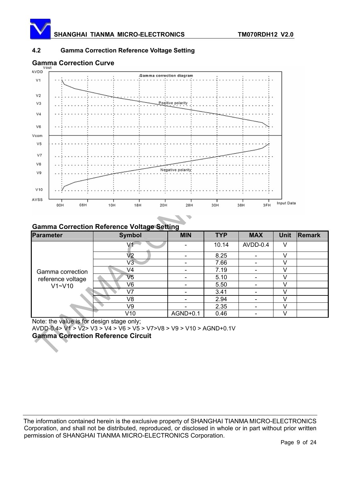

#### **4.2 Gamma Correction Reference Voltage Setting**



### **Gamma Correction Reference Voltage Setting**

| <b>Parameter</b>  | <b>Symbol</b>  | <b>MIN</b> | <b>TYP</b> | <b>MAX</b>               | <b>Unit</b> | Remark |
|-------------------|----------------|------------|------------|--------------------------|-------------|--------|
|                   |                |            | 10.14      | AVDD-0.4                 | V           |        |
|                   | V2             |            | 8.25       |                          | V           |        |
|                   | V3             |            | 7.66       |                          | V           |        |
| Gamma correction  | V4             |            | 7.19       |                          |             |        |
| reference voltage | V5             |            | 5.10       | $\overline{\phantom{0}}$ | V           |        |
| V1~V10            | V6             |            | 5.50       |                          |             |        |
|                   | V7             |            | 3.41       |                          | V           |        |
|                   | V <sub>8</sub> |            | 2.94       |                          |             |        |
|                   | V9             |            | 2.35       | $\overline{\phantom{0}}$ | V           |        |
|                   | V10            | AGND+0.1   | 0.46       |                          |             |        |

Note: the value is for design stage only;

AVDD-0.4> V1 > V2> V3 > V4 > V6 > V5 > V7>V8 > V9 > V10 > AGND+0.1V

**Gamma Correction Reference Circuit**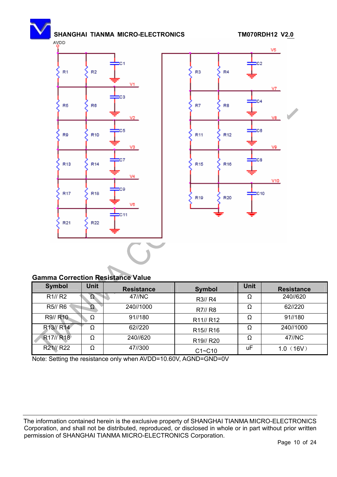



#### **Gamma Correction Resistance Value**

| <b>Symbol</b>                      | <b>Unit</b> | <b>Resistance</b> | <b>Symbol</b>                      | <b>Unit</b> | <b>Resistance</b> |
|------------------------------------|-------------|-------------------|------------------------------------|-------------|-------------------|
| R1//R2                             |             | 47//NC            | R3// R4                            | Ω           | 240//620          |
| R5// R6                            |             | 240//1000         | R7// R8                            | Ω           | 62//220           |
| R9// R10                           | Ω           | 91//180           | R <sub>11</sub> // R <sub>12</sub> | Ω           | 91//180           |
| R13// R14                          | Ω           | 62//220           | R <sub>15</sub> // R <sub>16</sub> | Ω           | 240//1000         |
| R <sub>17</sub> // R <sub>18</sub> | Ω           | 240//620          | R <sub>19</sub> // R <sub>20</sub> | Ω           | 47//NC            |
| R <sub>21</sub> // R <sub>22</sub> | Ω           | 47//300           | $C1 - C10$                         | uF          | 1.0(16V)          |

Note: Setting the resistance only when AVDD=10.60V, AGND=GND=0V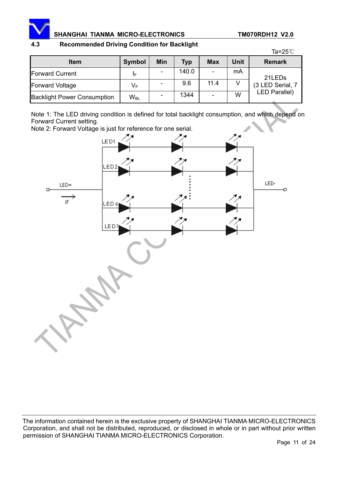

#### **4.3 Recommended Driving Condition for Backlight**

|                                    |               |            |            |            |             | Ta=25 $\degree$ C    |  |
|------------------------------------|---------------|------------|------------|------------|-------------|----------------------|--|
| <b>Item</b>                        | <b>Symbol</b> | <b>Min</b> | <b>Typ</b> | <b>Max</b> | <b>Unit</b> | <b>Remark</b>        |  |
| <b>Forward Current</b>             | ΙF            |            | 140.0      |            | mA          | 21LED <sub>s</sub>   |  |
| <b>Forward Voltage</b>             | VF            |            | 9.6        | 11.4       |             | (3 LED Serial, 7     |  |
| <b>Backlight Power Consumption</b> | $W_{BL}$      |            | 1344       |            | W           | <b>LED Parallel)</b> |  |

Note 1: The LED driving condition is defined for total backlight consumption, and which depend on Forward Current setting.

Note 2: Forward Voltage is just for reference for one serial.

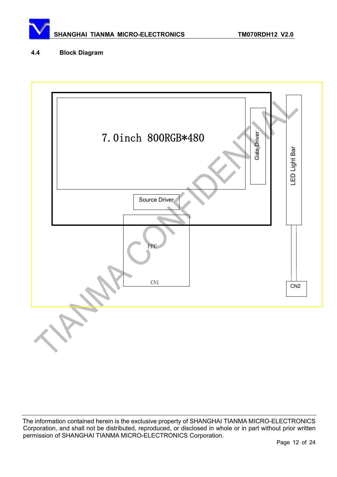

#### **4.4 Block Diagram**

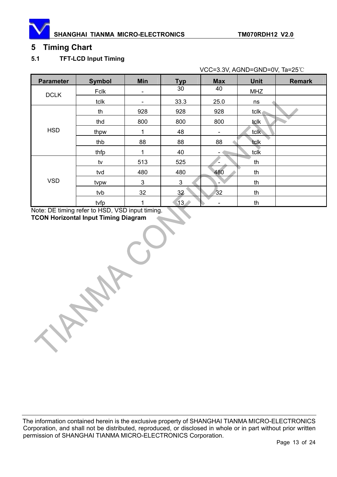<span id="page-12-0"></span>

# **5 Timing Chart**

#### **5.1 TFT-LCD Input Timing**

VCC=3.3V, AGND=GND=0V, Ta=25°C

| <b>Parameter</b> | <b>Symbol</b> | <b>Min</b> | <b>Typ</b>      | <b>Max</b>               | <b>Unit</b> | <b>Remark</b> |
|------------------|---------------|------------|-----------------|--------------------------|-------------|---------------|
| <b>DCLK</b>      | Fclk          | -          | 30              | 40                       | <b>MHZ</b>  |               |
|                  | tclk          | -          | 33.3            | 25.0                     | ns          |               |
|                  | th            | 928        | 928             | 928                      | tclk.       |               |
|                  | thd           | 800        | 800             | 800                      | tclk        |               |
| <b>HSD</b>       | thpw          | 1          | 48              | $\overline{\phantom{a}}$ | tclk        |               |
|                  | thb           | 88         | 88              | 88                       | tclk        |               |
|                  | thfp          | 1          | 40              |                          | tclk        |               |
|                  | tv            | 513        | 525             |                          | th          |               |
| <b>VSD</b>       | tvd           | 480        | 480             | 480                      | th          |               |
|                  | tvpw          | 3          | $\mathbf{3}$    | -                        | th          |               |
|                  | tvb           | 32         | 32              | 32                       | th          |               |
|                  | tvfp          | 1          | 13 <sub>2</sub> |                          | th          |               |

Note: DE timing refer to HSD, VSD input timing. **TCON Horizontal Input Timing Diagram**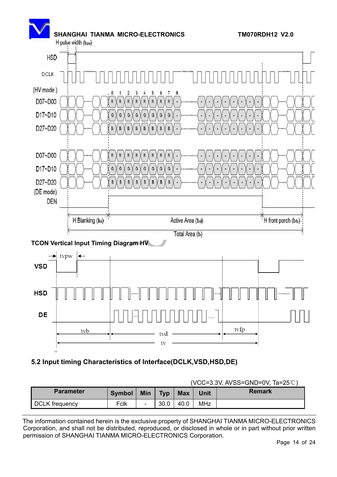

**TCON Vertical Input Timing Diagram HV** 



# **5.2 Input timing Characteristics of Interface(DCLK,VSD,HSD,DE)**

|                       |               |     |            |            | (VCC=3.3V, AVSS=GND=0V, $1a=25$ C) |        |  |
|-----------------------|---------------|-----|------------|------------|------------------------------------|--------|--|
| <b>Parameter</b>      | <b>Symbol</b> | Min | <b>Typ</b> | <b>Max</b> | Unit                               | Remark |  |
| <b>DCLK</b> frequency | Fclk          |     | 30.0       | 40.0       | MHz                                |        |  |

The information contained herein is the exclusive property of SHANGHAI TIANMA MICRO-ELECTRONICS Corporation, and shall not be distributed, reproduced, or disclosed in whole or in part without prior written permission of SHANGHAI TIANMA MICRO-ELECTRONICS Corporation.

#### $(VCC=3.3V, AVSS=GND=0V, Ta=25°C)$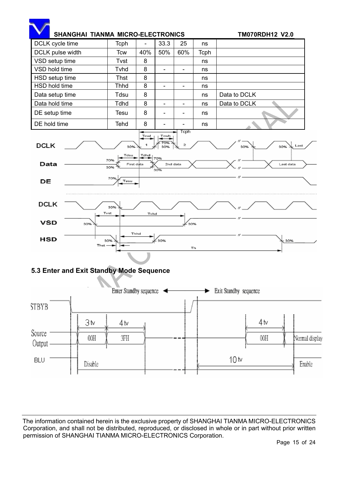

**BLU** 

Disable

Enable

10 tv

The information contained herein is the exclusive property of SHANGHAI TIANMA MICRO-ELECTRONICS Corporation, and shall not be distributed, reproduced, or disclosed in whole or in part without prior written permission of SHANGHAI TIANMA MICRO-ELECTRONICS Corporation.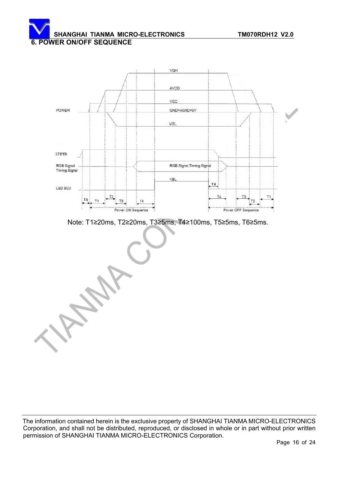# SHANGHAI TIANMA MICRO-ELECTRONICS **TM070RDH12 V2.0 6. POWER ON/OFF SEQUENCE**



Note: T1≥20ms, T2≥20ms, T3≥5ms, T4≥100ms, T5≥5ms, T6≥5ms.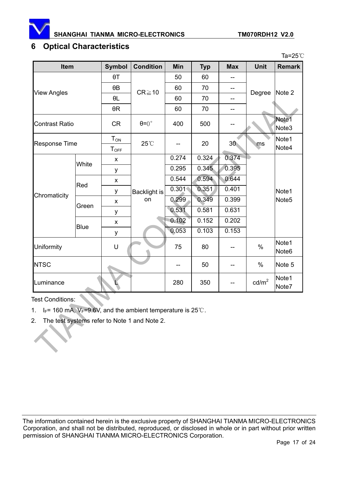<span id="page-16-0"></span>

Ta= $25^\circ$ C

# **6 Optical Characteristics**

| Item                  |             | <b>Symbol</b>         | <b>Condition</b>     | Min   | <b>Typ</b> | <b>Max</b>      | <b>Unit</b>       | <b>Remark</b>              |
|-----------------------|-------------|-----------------------|----------------------|-------|------------|-----------------|-------------------|----------------------------|
|                       |             | $\theta$ T            |                      | 50    | 60         |                 |                   |                            |
|                       |             | $\theta$ B            | $CR \ge 10$          | 60    | 70         | --              |                   | Note 2                     |
| <b>View Angles</b>    |             | $\theta L$            |                      | 60    | 70         | --              | Degree            |                            |
|                       |             | $\theta R$            |                      | 60    | 70         | --              |                   |                            |
| <b>Contrast Ratio</b> |             |                       | $\theta = 0^{\circ}$ | 400   | 500        |                 |                   | Note1<br>Note3             |
| <b>Response Time</b>  |             | $T_{ON}$<br>$T_{OFF}$ | 25°C                 |       | 20         | 30 <sub>°</sub> | ms                | Note1<br>Note4             |
|                       | White       | $\pmb{\mathsf{x}}$    |                      | 0.274 | 0.324      | 0.374           |                   |                            |
|                       |             | У                     | Backlight is<br>on   | 0.295 | 0.345      | 0.395           |                   |                            |
|                       | Red         | X                     |                      | 0.544 | 0.594      | 0.644           |                   |                            |
|                       |             | у                     |                      | 0.301 | 0.351      | 0.401           |                   | Note1                      |
| Chromaticity          | Green       | X                     |                      | 0.299 | 0.349      | 0.399           |                   | Note <sub>5</sub>          |
|                       |             | у                     |                      | 0.531 | 0.581      | 0.631           |                   |                            |
|                       | <b>Blue</b> | X                     |                      | 0.102 | 0.152      | 0.202           |                   |                            |
|                       |             | У                     |                      | 0.053 | 0.103      | 0.153           |                   |                            |
| Uniformity            |             | U                     |                      | 75    | 80         |                 | $\%$              | Note1<br>Note <sub>6</sub> |
| <b>NTSC</b>           |             |                       |                      | --    | 50         |                 | $\%$              | Note 5                     |
| Luminance             |             |                       |                      | 280   | 350        |                 | cd/m <sup>2</sup> | Note1<br>Note7             |

Test Conditions:

- 1.  $I_F$ = 160 mA,  $V_F$ =9.6V, and the ambient temperature is 25°C.
- 2. The test systems refer to Note 1 and Note 2.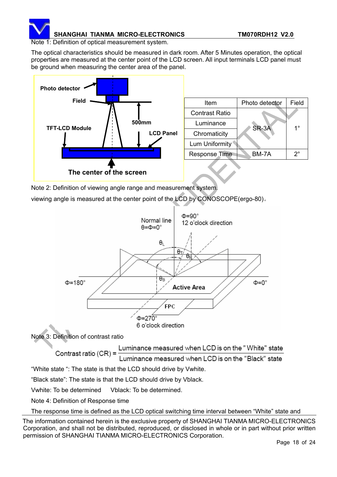

Note 1: Definition of optical measurement system.

The optical characteristics should be measured in dark room. After 5 Minutes operation, the optical properties are measured at the center point of the LCD screen. All input terminals LCD panel must be ground when measuring the center area of the panel.



Note 2: Definition of viewing angle range and measurement system.

viewing angle is measured at the center point of the LCD by CONOSCOPE(ergo-80).



The response time is defined as the LCD optical switching time interval between "White" state and

The information contained herein is the exclusive property of SHANGHAI TIANMA MICRO-ELECTRONICS Corporation, and shall not be distributed, reproduced, or disclosed in whole or in part without prior written permission of SHANGHAI TIANMA MICRO-ELECTRONICS Corporation.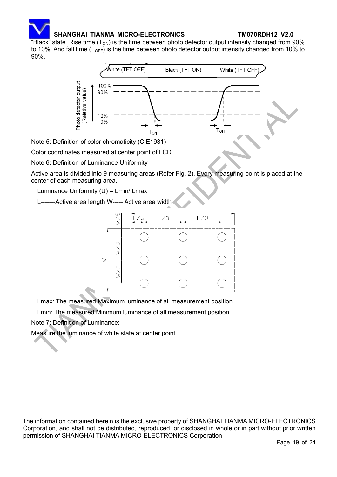

"Black" state. Rise time  $(T_{ON})$  is the time between photo detector output intensity changed from 90% to 10%. And fall time ( $T<sub>OFF</sub>$ ) is the time between photo detector output intensity changed from 10% to 90%.



Note 5: Definition of color chromaticity (CIE1931)

Color coordinates measured at center point of LCD.

Note 6: Definition of Luminance Uniformity

Active area is divided into 9 measuring areas (Refer Fig. 2). Every measuring point is placed at the center of each measuring area.

Luminance Uniformity (U) = Lmin/ Lmax

L-------Active area length W----- Active area width



Lmax: The measured Maximum luminance of all measurement position.

Lmin: The measured Minimum luminance of all measurement position.

Note 7: Definition of Luminance:

Measure the luminance of white state at center point.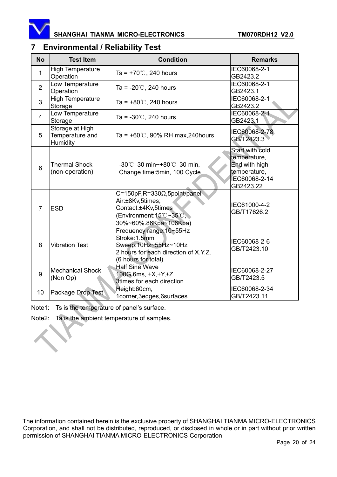<span id="page-19-0"></span>

# **7 Environmental / Reliability Test**

| <b>No</b>       | <b>Test Item</b>                               | <b>Condition</b>                                                                                                                         | <b>Remarks</b>                                                                                 |
|-----------------|------------------------------------------------|------------------------------------------------------------------------------------------------------------------------------------------|------------------------------------------------------------------------------------------------|
| 1               | <b>High Temperature</b><br>Operation           | Ts = $+70^{\circ}$ C, 240 hours                                                                                                          | IEC60068-2-1<br>GB2423.2                                                                       |
| $\overline{2}$  | Low Temperature<br>Operation                   | Ta = $-20^{\circ}$ C, 240 hours                                                                                                          | IEC60068-2-1<br>GB2423.1                                                                       |
| 3               | <b>High Temperature</b><br>Storage             | Ta = $+80^{\circ}$ C, 240 hours                                                                                                          | IEC60068-2-1<br>GB2423.2                                                                       |
| $\overline{4}$  | Low Temperature<br>Storage                     | Ta = $-30^{\circ}$ C, 240 hours                                                                                                          | IEC60068-2-1<br>GB2423.1                                                                       |
| 5               | Storage at High<br>Temperature and<br>Humidity | Ta = $+60^{\circ}$ C, 90% RH max, 240 hours                                                                                              | IEC60068-2-78<br>GB/T2423.3                                                                    |
| $6\phantom{1}6$ | <b>Thermal Shock</b><br>(non-operation)        | -30°C 30 min~+80°C 30 min,<br>Change time: 5min, 100 Cycle                                                                               | Start with cold<br>temperature,<br>End with high<br>temperature,<br>IEC60068-2-14<br>GB2423.22 |
| $\overline{7}$  | <b>ESD</b>                                     | $C=150pF$ , R=330 $\Omega$ , 5point/panel<br>Air:±8Kv,5times;<br>Contact:±4Kv,5times<br>(Environment:15°C~35°C,<br>30%~60%.86Kpa~106Kpa) | IEC61000-4-2<br>GB/T17626.2                                                                    |
| 8               | <b>Vibration Test</b>                          | Frequency range: 10~55Hz<br>Stroke: 1.5mm<br>Sweep:10Hz~55Hz~10Hz<br>2 hours for each direction of X.Y.Z.<br>(6 hours for total)         | IEC60068-2-6<br>GB/T2423.10                                                                    |
| 9               | <b>Mechanical Shock</b><br>(Non Op)            | <b>Half Sine Wave</b><br>100G 6ms, ±X,±Y,±Z<br>3times for each direction                                                                 | IEC60068-2-27<br>GB/T2423.5                                                                    |
| 10              | Package Drop Test                              | Height:60cm,<br>1corner, 3edges, 6surfaces                                                                                               | IEC60068-2-34<br>GB/T2423.11                                                                   |

Note1: Ts is the temperature of panel's surface.

Note2: Ta is the ambient temperature of samples.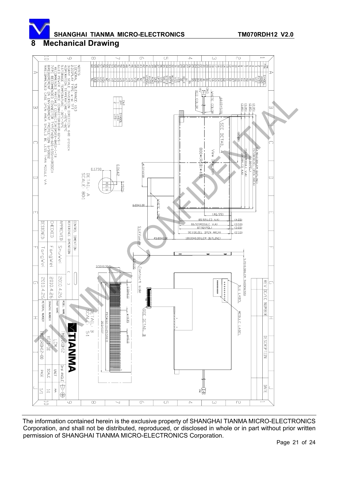<span id="page-20-0"></span>

# **8 Mechanical Drawing**

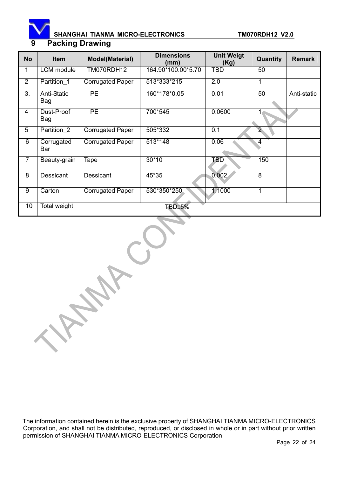<span id="page-21-0"></span>

# SHANGHAI TIANMA MICRO-ELECTRONICS **TM070RDH12 V2.0 9 Packing Drawing**

| <b>No</b>      | <b>Item</b>               | <b>Model(Material)</b>  | <b>Dimensions</b><br>(mm) | <b>Unit Weigt</b><br>(Kg) | Quantity       | <b>Remark</b> |
|----------------|---------------------------|-------------------------|---------------------------|---------------------------|----------------|---------------|
| 1              | <b>LCM</b> module         | TM070RDH12              | 164.90*100.00*5.70        | <b>TBD</b>                | 50             |               |
| $\overline{2}$ | Partition 1               | <b>Corrugated Paper</b> | 513*333*215               | $\overline{2.0}$          | 1              |               |
| 3.             | <b>Anti-Static</b><br>Bag | <b>PE</b>               | 160*178*0.05              | 0.01                      | 50             | Anti-static   |
| $\overline{4}$ | Dust-Proof<br>Bag         | <b>PE</b>               | 700*545                   | 0.0600                    |                |               |
| $\overline{5}$ | Partition 2               | <b>Corrugated Paper</b> | 505*332                   | 0.1                       | 2 <sub>1</sub> |               |
| 6              | Corrugated<br>Bar         | <b>Corrugated Paper</b> | 513*148                   | 0.06                      | $\overline{4}$ |               |
| $\overline{7}$ | Beauty-grain              | Tape                    | $30*10$                   | <b>TBD</b>                | 150            |               |
| $\overline{8}$ | Dessicant                 | <b>Dessicant</b>        | 45*35                     | 0.002                     | $\overline{8}$ |               |
| 9              | Carton                    | <b>Corrugated Paper</b> | 530*350*250               | 1.1000                    | 1              |               |
| 10             | Total weight              |                         | <b>TBD±5%</b>             |                           |                |               |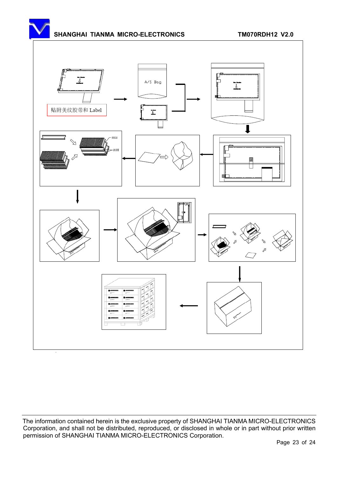